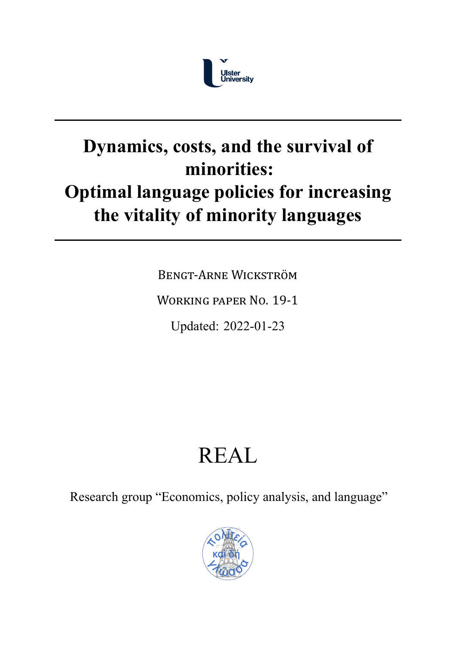

# **Dynamics, costs, and the survival of minorities: Optimal language policies for increasing the vitality of minority languages**

BENGT‐ARNE WICKSTRÖM

WORKING PAPER NO. 19‐1

Updated: 2022-01-23

# REAL

Research group "Economics, policy analysis, and language"

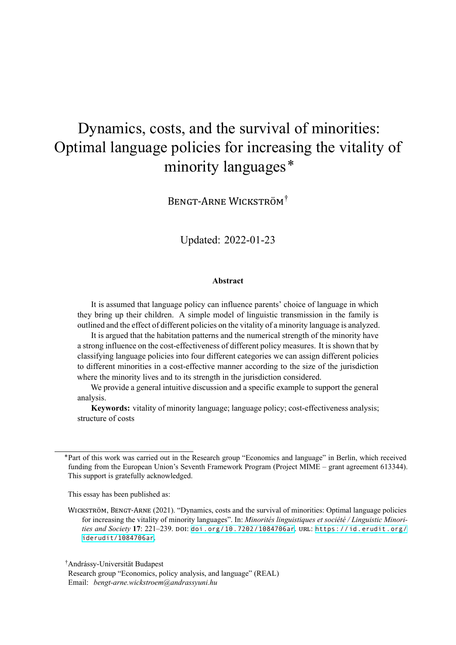# Dynamics, costs, and the survival of minorities: Optimal language policies for increasing the vitality of minority languages\*

BENGT‐ARNE WICKSTRÖM†

Updated: 2022-01-23

#### **Abstract**

It is assumed that language policy can influence parents' choice of language in which they bring up their children. A simple model of linguistic transmission in the family is outlined and the effect of different policies on the vitality of a minority language is analyzed.

It is argued that the habitation patterns and the numerical strength of the minority have a strong influence on the cost-effectiveness of different policy measures. It is shown that by classifying language policies into four different categories we can assign different policies to different minorities in a cost-effective manner according to the size of the jurisdiction where the minority lives and to its strength in the jurisdiction considered.

We provide a general intuitive discussion and a specific example to support the general analysis.

**Keywords:** vitality of minority language; language policy; cost-effectiveness analysis; structure of costs

This essay has been published as:

† Andrássy-Universität Budapest

Research group ["Economics](https://id.erudit.org/iderudit/1084706ar), policy analysis, and [language"](https://doi.org/doi.org/10.7202/1084706ar) (REAL) Email: *bengt-arne.wickstroem@andrassyuni.hu*

<sup>\*</sup>Part of this work was carried out in the Research group "Economics and language" in Berlin, which received funding from the European Union's Seventh Framework Program (Project MIME – grant agreement 613344). This support is gratefully acknowledged.

WICKSTRÖM, BENGT‐ARNE (2021). "Dynamics, costs and the survival of minorities: Optimal language policies for increasing the vitality of minority languages". In: *Minorités linguistiques et société / Linguistic Minorities and Society* **17**: 221–239. DOI: doi.org/10.7202/1084706ar. URL: https://id.erudit.org/ iderudit/1084706ar.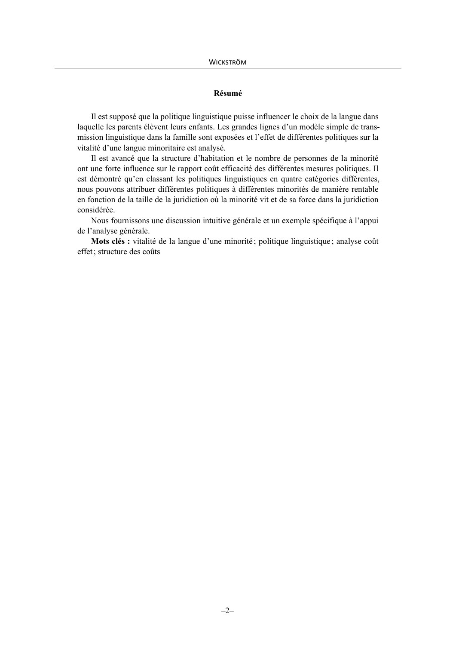#### **Résumé**

Il est supposé que la politique linguistique puisse influencer le choix de la langue dans laquelle les parents élèvent leurs enfants. Les grandes lignes d'un modèle simple de transmission linguistique dans la famille sont exposées et l'effet de différentes politiques sur la vitalité d'une langue minoritaire est analysé.

Il est avancé que la structure d'habitation et le nombre de personnes de la minorité ont une forte influence sur le rapport coût efficacité des différentes mesures politiques. Il est démontré qu'en classant les politiques linguistiques en quatre catégories différentes, nous pouvons attribuer différentes politiques à différentes minorités de manière rentable en fonction de la taille de la juridiction où la minorité vit et de sa force dans la juridiction considérée.

Nous fournissons une discussion intuitive générale et un exemple spécifique à l'appui de l'analyse générale.

**Mots clés :** vitalité de la langue d'une minorité; politique linguistique; analyse coût effet; structure des coûts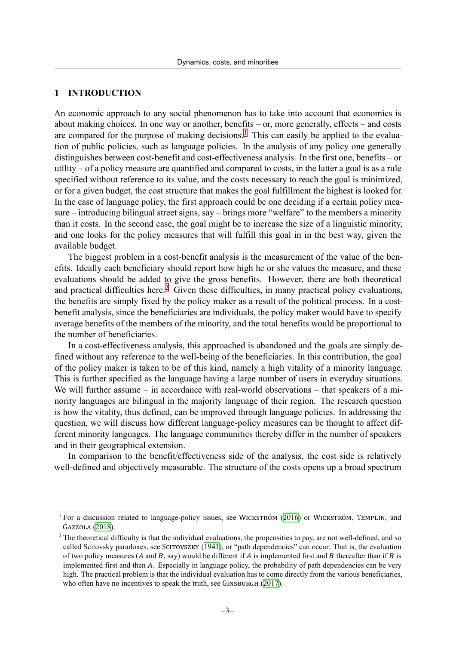## **1 INTRODUCTION**

An economic approach to any social phenomenon has to take into account that economics is about making choices. In one way or another, benefits – or, more generally, effects – and costs are compared for the purpose of making decisions.<sup>1</sup> This can easily be applied to the evaluation of public policies, such as language policies. In the analysis of any policy one generally distinguishes between cost-benefit and cost-effectiveness analysis. In the first one, benefits – or utility – of a policy measure are quantified and com[pa](#page-3-0)red to costs, in the latter a goal is as a rule specified without reference to its value, and the costs necessary to reach the goal is minimized, or for a given budget, the cost structure that makes the goal fulfillment the highest is looked for. In the case of language policy, the first approach could be one deciding if a certain policy measure – introducing bilingual street signs, say – brings more "welfare" to the members a minority than it costs. In the second case, the goal might be to increase the size of a linguistic minority, and one looks for the policy measures that will fulfill this goal in in the best way, given the available budget.

The biggest problem in a cost-benefit analysis is the measurement of the value of the benefits. Ideally each beneficiary should report how high he or she values the measure, and these evaluations should be added to give the gross benefits. However, there are both theoretical and practical difficulties here.<sup>2</sup> Given these difficulties, in many practical policy evaluations, the benefits are simply fixed by the policy maker as a result of the political process. In a costbenefit analysis, since the beneficiaries are individuals, the policy maker would have to specify average benefits of the memb[er](#page-3-1)s of the minority, and the total benefits would be proportional to the number of beneficiaries.

In a cost-effectiveness analysis, this approached is abandoned and the goals are simply defined without any reference to the well-being of the beneficiaries. In this contribution, the goal of the policy maker is taken to be of this kind, namely a high vitality of a minority language. This is further specified as the language having a large number of users in everyday situations. We will further assume – in accordance with real-world observations – that speakers of a minority languages are bilingual in the majority language of their region. The research question is how the vitality, thus defined, can be improved through language policies. In addressing the question, we will discuss how different language-policy measures can be thought to affect different minority languages. The language communities thereby differ in the number of speakers and in their geographical extension.

In comparison to the benefit/effectiveness side of the analysis, the cost side is relatively well-defined and objectively measurable. The structure of the costs opens up a broad spectrum

<sup>&</sup>lt;sup>1</sup> For a discussion related to language-policy issues, see WICKSTRÖM  $(2016)$  or WICKSTRÖM, TEMPLIN, and GAZZOLA (2018).

<span id="page-3-1"></span><span id="page-3-0"></span><sup>&</sup>lt;sup>2</sup> The theoretical difficulty is that the individual evaluations, the propensities to pay, are not well-defined, and so called Scitovsky paradoxes, see SCITOVSZKY (1941), or "path dependencies" can occur. That is, the evaluation of two policy measures ( $A$  and  $B$ , say) would be different if  $A$  is imple[mented](#page-11-0) first and  $B$  thereafter than if  $B$  is implemen[ted](#page-11-1) first and then A. Especially in language policy, the probability of path dependencies can be very high. The practical problem is that the individual evaluation has to come directly from the various beneficiaries, who often have no incentives to speak the truth, [see](#page-10-0) GINSBURGH (2017).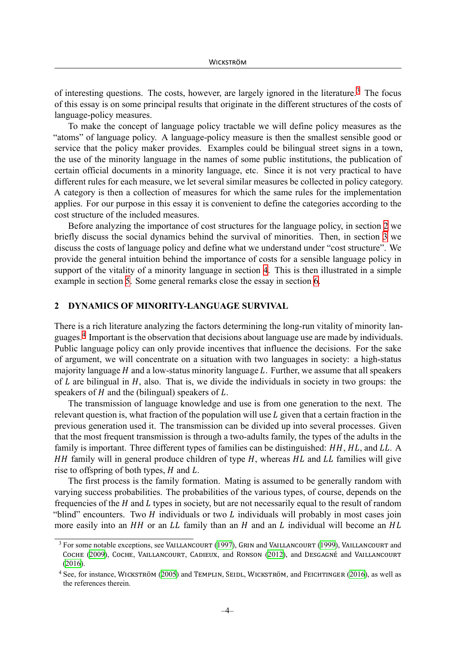of interesting questions. The costs, however, are largely ignored in the literature.<sup>3</sup> The focus of this essay is on some principal results that originate in the different structures of the costs of language-policy measures.

To make the concept of language policy tractable we will define policy me[as](#page-4-0)ures as the "atoms" of language policy. A language-policy measure is then the smallest sensible good or service that the policy maker provides. Examples could be bilingual street signs in a town, the use of the minority language in the names of some public institutions, the publication of certain official documents in a minority language, etc. Since it is not very practical to have different rules for each measure, we let several similar measures be collected in policy category. A category is then a collection of measures for which the same rules for the implementation applies. For our purpose in this essay it is convenient to define the categories according to the cost structure of the included measures.

Before analyzing the importance of cost structures for the language policy, in section 2 we briefly discuss the social dynamics behind the survival of minorities. Then, in section 3 we discuss the costs of language policy and define what we understand under "cost structure". We provide the general intuition behind the importance of costs for a sensible language poli[cy](#page-4-1) in support of the vitality of a minority language in section 4. This is then illustrated in a s[im](#page-5-0)ple example in section 5. Some general remarks close the essay in section 6.

#### **2 DYNAMICS OF MINORITY-LANGUAGE SUR[VI](#page-6-0)VAL**

<span id="page-4-1"></span>There is a rich liter[at](#page-6-1)ure analyzing the factors determining the long-run [v](#page-9-0)itality of minority languages.<sup>4</sup> Important is the observation that decisions about language use are made by individuals. Public language policy can only provide incentives that influence the decisions. For the sake of argument, we will concentrate on a situation with two languages in society: a high-status majorit[y](#page-4-2) language  $H$  and a low-status minority language  $L$ . Further, we assume that all speakers of  $L$  are bilingual in  $H$ , also. That is, we divide the individuals in society in two groups: the speakers of  $H$  and the (bilingual) speakers of  $L$ .

The transmission of language knowledge and use is from one generation to the next. The relevant question is, what fraction of the population will use  $L$  given that a certain fraction in the previous generation used it. The transmission can be divided up into several processes. Given that the most frequent transmission is through a two-adults family, the types of the adults in the family is important. Three different types of families can be distinguished:  $HH$ ,  $HL$ , and  $LL$ . A  $HH$  family will in general produce children of type  $H$ , whereas  $HL$  and  $LL$  families will give rise to offspring of both types,  $H$  and  $L$ .

The first process is the family formation. Mating is assumed to be generally random with varying success probabilities. The probabilities of the various types, of course, depends on the frequencies of the  $H$  and  $L$  types in society, but are not necessarily equal to the result of random "blind" encounters. Two  $H$  individuals or two  $L$  individuals will probably in most cases join more easily into an  $HH$  or an  $LL$  family than an  $H$  and an  $L$  individual will become an  $HL$ 

<sup>&</sup>lt;sup>3</sup> For some notable exceptions, see VAILLANCOURT (1997), GRIN and VAILLANCOURT (1999), VAILLANCOURT and COCHE (2009), COCHE , VAILLANCOURT , CADIEUX, and RONSON (2012), and DESGAGNÉ and VAILLANCOURT (2016).

<span id="page-4-2"></span><span id="page-4-0"></span><sup>4</sup> See, for instance, WICKSTRÖM (2005) and TEMPLIN , SEIDL, WICKSTRÖM , and FEICHTINGER (2016), as well as the references therein.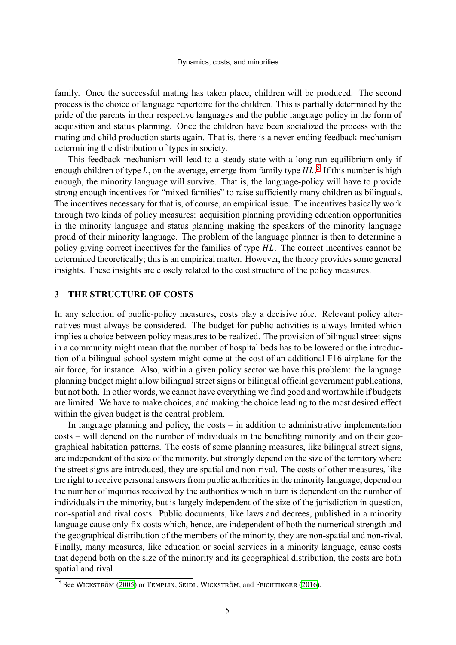family. Once the successful mating has taken place, children will be produced. The second process is the choice of language repertoire for the children. This is partially determined by the pride of the parents in their respective languages and the public language policy in the form of acquisition and status planning. Once the children have been socialized the process with the mating and child production starts again. That is, there is a never-ending feedback mechanism determining the distribution of types in society.

This feedback mechanism will lead to a steady state with a long-run equilibrium only if enough children of type L, on the average, emerge from family type  $HL$ <sup>5</sup> If this number is high enough, the minority language will survive. That is, the language-policy will have to provide strong enough incentives for "mixed families" to raise sufficiently many children as bilinguals. The incentives necessary for that is, of course, an empirical issue. The in[c](#page-5-1)entives basically work through two kinds of policy measures: acquisition planning providing education opportunities in the minority language and status planning making the speakers of the minority language proud of their minority language. The problem of the language planner is then to determine a policy giving correct incentives for the families of type HL. The correct incentives cannot be determined theoretically; this is an empirical matter. However, the theory provides some general insights. These insights are closely related to the cost structure of the policy measures.

## **3 THE STRUCTURE OF COSTS**

<span id="page-5-0"></span>In any selection of public-policy measures, costs play a decisive rôle. Relevant policy alternatives must always be considered. The budget for public activities is always limited which implies a choice between policy measures to be realized. The provision of bilingual street signs in a community might mean that the number of hospital beds has to be lowered or the introduction of a bilingual school system might come at the cost of an additional F16 airplane for the air force, for instance. Also, within a given policy sector we have this problem: the language planning budget might allow bilingual street signs or bilingual official government publications, but not both. In other words, we cannot have everything we find good and worthwhile if budgets are limited. We have to make choices, and making the choice leading to the most desired effect within the given budget is the central problem.

In language planning and policy, the costs – in addition to administrative implementation costs – will depend on the number of individuals in the benefiting minority and on their geographical habitation patterns. The costs of some planning measures, like bilingual street signs, are independent of the size of the minority, but strongly depend on the size of the territory where the street signs are introduced, they are spatial and non-rival. The costs of other measures, like the right to receive personal answers from public authorities in the minority language, depend on the number of inquiries received by the authorities which in turn is dependent on the number of individuals in the minority, but is largely independent of the size of the jurisdiction in question, non-spatial and rival costs. Public documents, like laws and decrees, published in a minority language cause only fix costs which, hence, are independent of both the numerical strength and the geographical distribution of the members of the minority, they are non-spatial and non-rival. Finally, many measures, like education or social services in a minority language, cause costs that depend both on the size of the minority and its geographical distribution, the costs are both spatial and rival.

<span id="page-5-1"></span> $5$  See WICKSTRÖM (2005) or TEMPLIN, SEIDL, WICKSTRÖM, and FEICHTINGER (2016).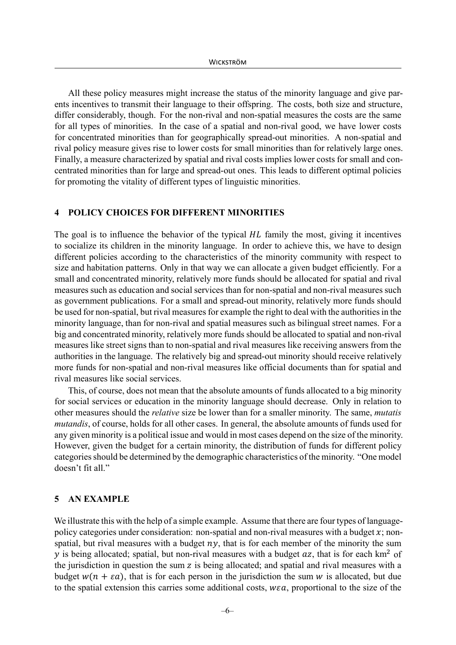All these policy measures might increase the status of the minority language and give parents incentives to transmit their language to their offspring. The costs, both size and structure, differ considerably, though. For the non-rival and non-spatial measures the costs are the same for all types of minorities. In the case of a spatial and non-rival good, we have lower costs for concentrated minorities than for geographically spread-out minorities. A non-spatial and rival policy measure gives rise to lower costs for small minorities than for relatively large ones. Finally, a measure characterized by spatial and rival costs implies lower costs for small and concentrated minorities than for large and spread-out ones. This leads to different optimal policies for promoting the vitality of different types of linguistic minorities.

#### <span id="page-6-0"></span>**4 POLICY CHOICES FOR DIFFERENT MINORITIES**

The goal is to influence the behavior of the typical  $HL$  family the most, giving it incentives to socialize its children in the minority language. In order to achieve this, we have to design different policies according to the characteristics of the minority community with respect to size and habitation patterns. Only in that way we can allocate a given budget efficiently. For a small and concentrated minority, relatively more funds should be allocated for spatial and rival measures such as education and social services than for non-spatial and non-rival measures such as government publications. For a small and spread-out minority, relatively more funds should be used for non-spatial, but rival measures for example the right to deal with the authorities in the minority language, than for non-rival and spatial measures such as bilingual street names. For a big and concentrated minority, relatively more funds should be allocated to spatial and non-rival measures like street signs than to non-spatial and rival measures like receiving answers from the authorities in the language. The relatively big and spread-out minority should receive relatively more funds for non-spatial and non-rival measures like official documents than for spatial and rival measures like social services.

This, of course, does not mean that the absolute amounts of funds allocated to a big minority for social services or education in the minority language should decrease. Only in relation to other measures should the *relative* size be lower than for a smaller minority. The same, *mutatis mutandis*, of course, holds for all other cases. In general, the absolute amounts of funds used for any given minority is a political issue and would in most cases depend on the size of the minority. However, given the budget for a certain minority, the distribution of funds for different policy categories should be determined by the demographic characteristics of the minority. "One model doesn't fit all."

### <span id="page-6-1"></span>**5 AN EXAMPLE**

We illustrate this with the help of a simple example. Assume that there are four types of languagepolicy categories under consideration: non-spatial and non-rival measures with a budget  $x$ ; nonspatial, but rival measures with a budget  $ny$ , that is for each member of the minority the sum y is being allocated; spatial, but non-rival measures with a budget  $az$ , that is for each km<sup>2</sup> of the jurisdiction in question the sum  $z$  is being allocated; and spatial and rival measures with a budget  $w(n + \varepsilon a)$ , that is for each person in the jurisdiction the sum w is allocated, but due to the spatial extension this carries some additional costs,  $w\epsilon a$ , proportional to the size of the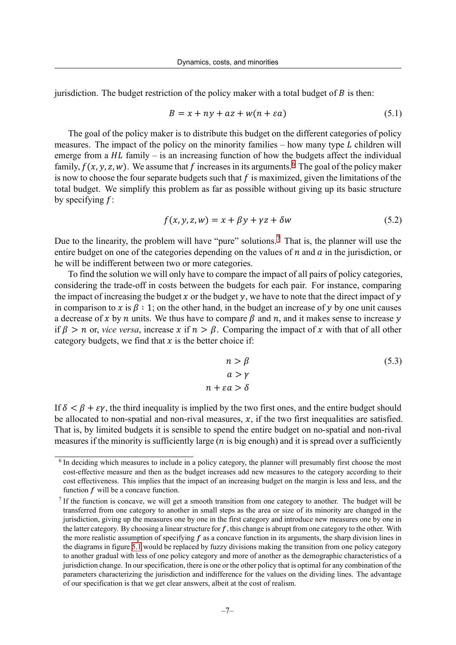jurisdiction. The budget restriction of the policy maker with a total budget of  $\hat{B}$  is then:

$$
B = x + ny + az + w(n + \varepsilon a)
$$
\n
$$
(5.1)
$$

The goal of the policy maker is to distribute this budget on the different categories of policy measures. The impact of the policy on the minority families – how many type  $L$  children will emerge from a  $HL$  family – is an increasing function of how the budgets affect the individual family,  $f(x, y, z, w)$ . We assume that f increases in its arguments.<sup>6</sup> The goal of the policy maker is now to choose the four separate budgets such that  $f$  is maximized, given the limitations of the total budget. We simplify this problem as far as possible without giving up its basic structure by specifying  $f$ :

$$
f(x, y, z, w) = x + \beta y + \gamma z + \delta w \tag{5.2}
$$

Due to the linearity, the problem will have "pure" solutions.<sup>7</sup> That is, the planner will use the entire budget on one of the categories depending on the values of  $n$  and  $\alpha$  in the jurisdiction, or he will be indifferent between two or more categories.

To find the solution we will only have to compare the imp[a](#page-7-0)ct of all pairs of policy categories, considering the trade-off in costs between the budgets for each pair. For instance, comparing the impact of increasing the budget  $x$  or the budget  $y$ , we have to note that the direct impact of  $y$ in comparison to x is  $\beta : 1$ ; on the other hand, in the budget an increase of y by one unit causes a decrease of x by n units. We thus have to compare  $\beta$  and n, and it makes sense to increase y if  $\beta > n$  or, *vice versa*, increase x if  $n > \beta$ . Comparing the impact of x with that of all other category budgets, we find that  $x$  is the better choice if:

$$
n > \beta \tag{5.3}
$$
\n
$$
a > \gamma
$$
\n
$$
n + \varepsilon a > \delta
$$

If  $\delta < \beta + \varepsilon \gamma$ , the third inequality is implied by the two first ones, and the entire budget should be allocated to non-spatial and non-rival measures,  $x$ , if the two first inequalities are satisfied. That is, by limited budgets it is sensible to spend the entire budget on no-spatial and non-rival measures if the minority is sufficiently large ( $n$  is big enough) and it is spread over a sufficiently

<sup>&</sup>lt;sup>6</sup> In deciding which measures to include in a policy category, the planner will presumably first choose the most cost-effective measure and then as the budget increases add new measures to the category according to their cost effectiveness. This implies that the impact of an increasing budget on the margin is less and less, and the function  $f$  will be a concave function.

<span id="page-7-0"></span> $<sup>7</sup>$  If the function is concave, we will get a smooth transition from one category to another. The budget will be</sup> transferred from one category to another in small steps as the area or size of its minority are changed in the jurisdiction, giving up the measures one by one in the first category and introduce new measures one by one in the latter category. By choosing a linear structure for  $f$ , this change is abrupt from one category to the other. With the more realistic assumption of specifying  $f$  as a concave function in its arguments, the sharp division lines in the diagrams in figure 5.1 would be replaced by fuzzy divisions making the transition from one policy category to another gradual with less of one policy category and more of another as the demographic characteristics of a jurisdiction change. In ourspecification, there is one or the other policy that is optimal for any combination of the parameters characterizing the jurisdiction and indifference for the values on the dividing lines. The advantage of our specification is [that](#page-9-1) we get clear answers, albeit at the cost of realism.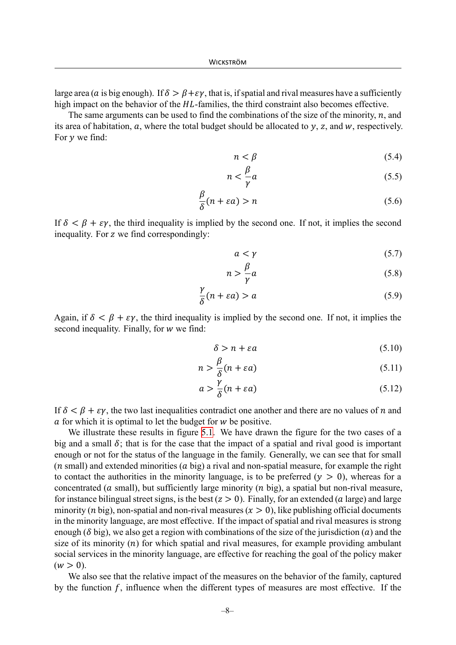large area (a is big enough). If  $\delta > \beta + \varepsilon \gamma$ , that is, if spatial and rival measures have a sufficiently high impact on the behavior of the  $HL$ -families, the third constraint also becomes effective.

The same arguments can be used to find the combinations of the size of the minority,  $n$ , and its area of habitation,  $a$ , where the total budget should be allocated to  $y$ , z, and  $w$ , respectively. For  $y$  we find:

$$
n < \beta \tag{5.4}
$$

$$
n < \frac{\beta}{\gamma}a \tag{5.5}
$$

$$
\frac{\beta}{\delta}(n + \varepsilon a) > n \tag{5.6}
$$

If  $\delta < \beta + \varepsilon \gamma$ , the third inequality is implied by the second one. If not, it implies the second inequality. For  $z$  we find correspondingly:

$$
a < \gamma \tag{5.7}
$$

$$
n > \frac{\beta}{\gamma}a \tag{5.8}
$$

$$
\frac{\gamma}{\delta}(n + \varepsilon a) > a \tag{5.9}
$$

Again, if  $\delta < \beta + \varepsilon \gamma$ , the third inequality is implied by the second one. If not, it implies the second inequality. Finally, for  $w$  we find:

$$
\delta > n + \varepsilon a \tag{5.10}
$$

$$
n > \frac{\beta}{\delta}(n + \varepsilon a) \tag{5.11}
$$

$$
a > \frac{\gamma}{\delta}(n + \varepsilon a) \tag{5.12}
$$

If  $\delta < \beta + \varepsilon \gamma$ , the two last inequalities contradict one another and there are no values of *n* and  $\alpha$  for which it is optimal to let the budget for  $w$  be positive.

We illustrate these results in figure 5.1. We have drawn the figure for the two cases of a big and a small  $\delta$ ; that is for the case that the impact of a spatial and rival good is important enough or not for the status of the language in the family. Generally, we can see that for small  $(n \text{ small})$  $(n \text{ small})$  $(n \text{ small})$  and extended minorities  $(a \text{ big})$  a rival and non-spatial measure, for example the right to contact the authorities in the minority language, is to be preferred  $(y > 0)$ , whereas for a concentrated ( $a$  small), but sufficiently large minority ( $n$  big), a spatial but non-rival measure, for instance bilingual street signs, is the best  $(z > 0)$ . Finally, for an extended (a large) and large minority (*n* big), non-spatial and non-rival measures ( $x > 0$ ), like publishing official documents in the minority language, are most effective. If the impact of spatial and rival measures is strong enough ( $\delta$  big), we also get a region with combinations of the size of the jurisdiction (a) and the size of its minority  $(n)$  for which spatial and rival measures, for example providing ambulant social services in the minority language, are effective for reaching the goal of the policy maker  $(w > 0)$ .

We also see that the relative impact of the measures on the behavior of the family, captured by the function  $f$ , influence when the different types of measures are most effective. If the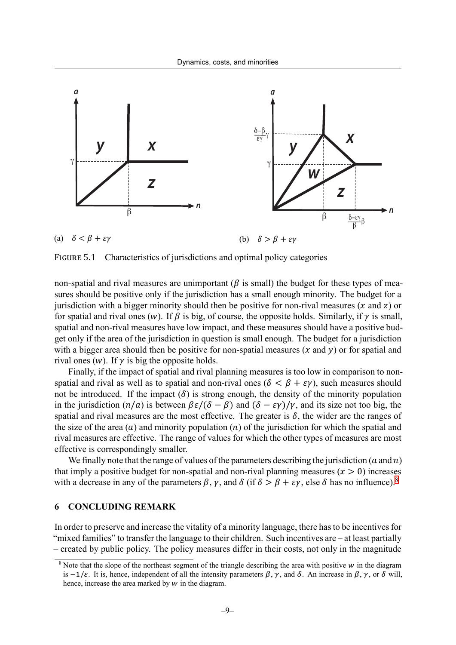<span id="page-9-1"></span>

FIGURE 5.1 Characteristics of jurisdictions and optimal policy categories

non-spatial and rival measures are unimportant ( $\beta$  is small) the budget for these types of measures should be positive only if the jurisdiction has a small enough minority. The budget for a jurisdiction with a bigger minority should then be positive for non-rival measures  $(x \text{ and } z)$  or for spatial and rival ones (w). If  $\beta$  is big, of course, the opposite holds. Similarly, if  $\gamma$  is small, spatial and non-rival measures have low impact, and these measures should have a positive budget only if the area of the jurisdiction in question is small enough. The budget for a jurisdiction with a bigger area should then be positive for non-spatial measures  $(x \text{ and } y)$  or for spatial and rival ones  $(w)$ . If  $\gamma$  is big the opposite holds.

Finally, if the impact of spatial and rival planning measures is too low in comparison to nonspatial and rival as well as to spatial and non-rival ones  $(\delta < \beta + \varepsilon \gamma)$ , such measures should not be introduced. If the impact  $(\delta)$  is strong enough, the density of the minority population in the jurisdiction  $(n/a)$  is between  $\beta \varepsilon/(\delta - \beta)$  and  $(\delta - \varepsilon \gamma)/\gamma$ , and its size not too big, the spatial and rival measures are the most effective. The greater is  $\delta$ , the wider are the ranges of the size of the area  $(a)$  and minority population  $(n)$  of the jurisdiction for which the spatial and rival measures are effective. The range of values for which the other types of measures are most effective is correspondingly smaller.

We finally note that the range of values of the parameters describing the jurisdiction ( $a$  and  $n$ ) that imply a positive budget for non-spatial and non-rival planning measures  $(x > 0)$  increases with a decrease in any of the parameters  $\beta$ ,  $\gamma$ , and  $\delta$  (if  $\delta > \beta + \varepsilon \gamma$ , else  $\delta$  has no influence).<sup>8</sup>

#### **6 CONCLUDING REMARK**

<span id="page-9-0"></span>In order to preserve and increase the vitality of a minority language, there has to be incentives for "mixed families" to transfer the language to their children. Such incentives are – at least partially – created by public policy. The policy measures differ in their costs, not only in the magnitude

 $8$  Note that the slope of the northeast segment of the triangle describing the area with positive  $w$  in the diagram is  $-1/\varepsilon$ . It is, hence, independent of all the intensity parameters  $\beta$ ,  $\gamma$ , and  $\delta$ . An increase in  $\beta$ ,  $\gamma$ , or  $\delta$  will, hence, increase the area marked by  $w$  in the diagram.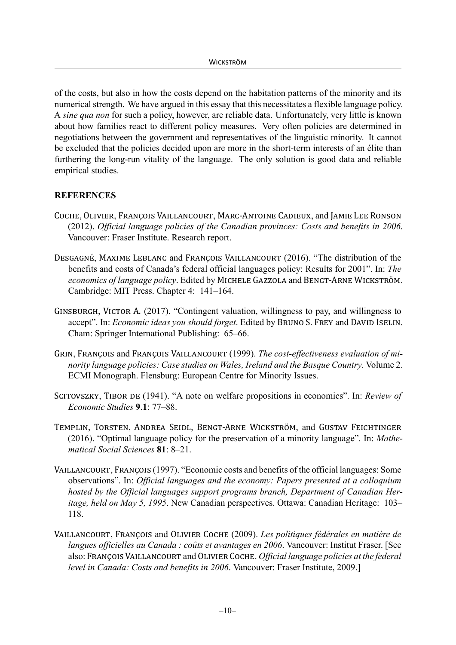of the costs, but also in how the costs depend on the habitation patterns of the minority and its numerical strength. We have argued in this essay that this necessitates a flexible language policy. A *sine qua non* for such a policy, however, are reliable data. Unfortunately, very little is known about how families react to different policy measures. Very often policies are determined in negotiations between the government and representatives of the linguistic minority. It cannot be excluded that the policies decided upon are more in the short-term interests of an élite than furthering the long-run vitality of the language. The only solution is good data and reliable empirical studies.

# **REFERENCES**

- COCHE, OLIVIER, FRANÇOIS VAILLANCOURT, MARC-ANTOINE CADIEUX, and JAMIE LEE RONSON (2012). *Official language policies of the Canadian provinces: Costs and benefits in 2006*. Vancouver: Fraser Institute. Research report.
- DESGAGNÉ , MAXIME LEBLANC and FRANÇOIS VAILLANCOURT (2016). "The distribution of the benefits and costs of Canada's federal official languages policy: Results for 2001". In: *The economics of language policy*. Edited by MICHELE GAZZOLA and BENGT‐ARNE WICKSTRÖM . Cambridge: MIT Press. Chapter 4: 141–164.
- GINSBURGH, VICTOR A. (2017). "Contingent valuation, willingness to pay, and willingness to accept". In: *Economic ideas you should forget*. Edited by BRUNO S. FREY and DAVID ISELIN . Cham: Springer International Publishing: 65–66.
- GRIN, FRANÇOIS and FRANÇOIS VAILLANCOURT (1999). *The cost-effectiveness evaluation of minority language policies: Case studies on Wales, Ireland and the Basque Country*. Volume 2. ECMI Monograph. Flensburg: European Centre for Minority Issues.
- <span id="page-10-0"></span>SCITOVSZKY, TIBOR DE (1941). "A note on welfare propositions in economics". In: *Review of Economic Studies* **9**.**1**: 77–88.
- TEMPLIN, TORSTEN, ANDREA SEIDL, BENGT-ARNE WICKSTRÖM, and GUSTAV FEICHTINGER (2016). "Optimal language policy for the preservation of a minority language". In: *Mathematical Social Sciences* **81**: 8–21.
- VAILLANCOURT , FRANÇOIS (1997). "Economic costs and benefits of the official languages: Some observations". In: *Official languages and the economy: Papers presented at a colloquium hosted by the Official languages support programs branch, Department of Canadian Heritage, held on May 5, 1995*. New Canadian perspectives. Ottawa: Canadian Heritage: 103– 118.
- VAILLANCOURT , FRANÇOIS and OLIVIER COCHE (2009). *Les politiques fédérales en matière de langues officielles au Canada : coûts et avantages en 2006*. Vancouver: Institut Fraser. [See also: FRANÇOIS VAILLANCOURT and OLIVIER COCHE . *Official language policies at the federal level in Canada: Costs and benefits in 2006*. Vancouver: Fraser Institute, 2009.]